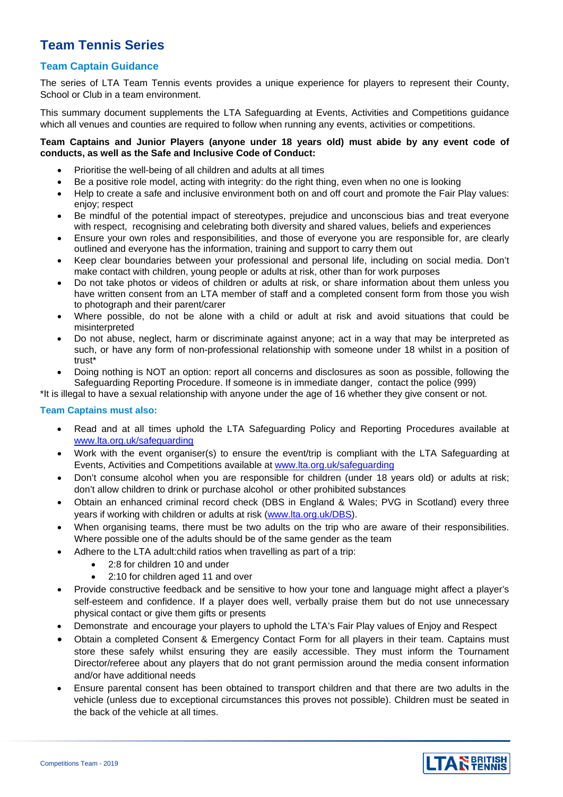# **Team Tennis Series**

# **Team Captain Guidance**

The series of LTA Team Tennis events provides a unique experience for players to represent their County, School or Club in a team environment.

This summary document supplements the LTA Safeguarding at Events, Activities and Competitions guidance which all venues and counties are required to follow when running any events, activities or competitions.

#### **Team Captains and Junior Players (anyone under 18 years old) must abide by any event code of conducts, as well as the Safe and Inclusive Code of Conduct:**

- Prioritise the well-being of all children and adults at all times
- Be a positive role model, acting with integrity: do the right thing, even when no one is looking
- Help to create a safe and inclusive environment both on and off court and promote the Fair Play values: enjoy; respect
- Be mindful of the potential impact of stereotypes, prejudice and unconscious bias and treat everyone with respect, recognising and celebrating both diversity and shared values, beliefs and experiences
- Ensure your own roles and responsibilities, and those of everyone you are responsible for, are clearly outlined and everyone has the information, training and support to carry them out
- Keep clear boundaries between your professional and personal life, including on social media. Don't make contact with children, young people or adults at risk, other than for work purposes
- Do not take photos or videos of children or adults at risk, or share information about them unless you have written consent from an LTA member of staff and a completed consent form from those you wish to photograph and their parent/carer
- Where possible, do not be alone with a child or adult at risk and avoid situations that could be misinterpreted
- Do not abuse, neglect, harm or discriminate against anyone; act in a way that may be interpreted as such, or have any form of non-professional relationship with someone under 18 whilst in a position of trust\*
- Doing nothing is NOT an option: report all concerns and disclosures as soon as possible, following the Safeguarding Reporting Procedure. If someone is in immediate danger, contact the police (999)

\*It is illegal to have a sexual relationship with anyone under the age of 16 whether they give consent or not.

## **Team Captains must also:**

- Read and at all times uphold the LTA Safeguarding Policy and Reporting Procedures available at [www.lta.org.uk/safeguarding](http://www.lta.org.uk/safeguarding)
- Work with the event organiser(s) to ensure the event/trip is compliant with the LTA Safeguarding at Events, Activities and Competitions available at [www.lta.org.uk/safeguarding](http://www.lta.org.uk/safeguarding)
- Don't consume alcohol when you are responsible for children (under 18 years old) or adults at risk; don't allow children to drink or purchase alcohol or other prohibited substances
- Obtain an enhanced criminal record check (DBS in England & Wales; PVG in Scotland) every three years if working with children or adults at risk [\(www.lta.org.uk/DBS\)](http://www.lta.org.uk/DBS).
- When organising teams, there must be two adults on the trip who are aware of their responsibilities. Where possible one of the adults should be of the same gender as the team
- Adhere to the LTA adult:child ratios when travelling as part of a trip:
	- 2:8 for children 10 and under
	- 2:10 for children aged 11 and over
- Provide constructive feedback and be sensitive to how your tone and language might affect a player's self-esteem and confidence. If a player does well, verbally praise them but do not use unnecessary physical contact or give them gifts or presents
- Demonstrate and encourage your players to uphold the LTA's Fair Play values of Enjoy and Respect
- Obtain a completed Consent & Emergency Contact Form for all players in their team. Captains must store these safely whilst ensuring they are easily accessible. They must inform the Tournament Director/referee about any players that do not grant permission around the media consent information and/or have additional needs
- Ensure parental consent has been obtained to transport children and that there are two adults in the vehicle (unless due to exceptional circumstances this proves not possible). Children must be seated in the back of the vehicle at all times.